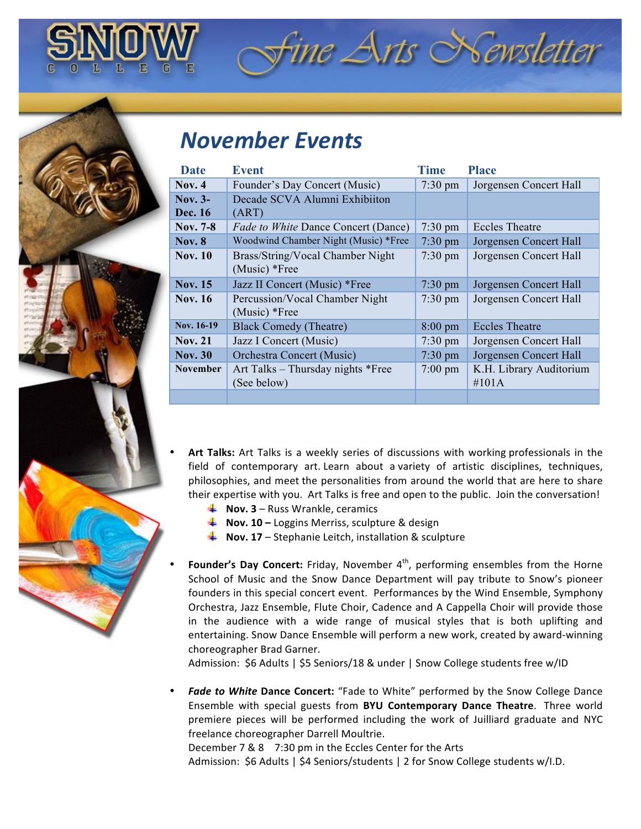

# *November(Events*

| Date            | <b>Event</b>                               | <b>Time</b>       | <b>Place</b>            |
|-----------------|--------------------------------------------|-------------------|-------------------------|
| <b>Nov. 4</b>   | Founder's Day Concert (Music)              | $7:30 \text{ pm}$ | Jorgensen Concert Hall  |
| Nov. $3-$       | Decade SCVA Alumni Exhibiiton              |                   |                         |
| Dec. 16         | (ART)                                      |                   |                         |
| Nov. 7-8        | <i>Fade to White Dance Concert (Dance)</i> | $7:30 \text{ pm}$ | <b>Eccles Theatre</b>   |
| <b>Nov. 8</b>   | Woodwind Chamber Night (Music) *Free       | $7:30 \text{ pm}$ | Jorgensen Concert Hall  |
| <b>Nov. 10</b>  | Brass/String/Vocal Chamber Night           | $7:30 \text{ pm}$ | Jorgensen Concert Hall  |
|                 | $(Music)*Free$                             |                   |                         |
| <b>Nov. 15</b>  | Jazz II Concert (Music) *Free              | $7:30 \text{ pm}$ | Jorgensen Concert Hall  |
| <b>Nov. 16</b>  | Percussion/Vocal Chamber Night             | $7:30 \text{ pm}$ | Jorgensen Concert Hall  |
|                 | $(Music)*Free$                             |                   |                         |
| Nov. 16-19      | <b>Black Comedy (Theatre)</b>              | $8:00 \text{ pm}$ | <b>Eccles Theatre</b>   |
| <b>Nov. 21</b>  | Jazz I Concert (Music)                     | $7:30 \text{ pm}$ | Jorgensen Concert Hall  |
| <b>Nov. 30</b>  | Orchestra Concert (Music)                  | $7:30 \text{ pm}$ | Jorgensen Concert Hall  |
| <b>November</b> | Art Talks – Thursday nights *Free          | $7:00 \text{ pm}$ | K.H. Library Auditorium |
|                 | (See below)                                |                   | #101A                   |
|                 |                                            |                   |                         |

 $\hat{z}$ ine Arts Newsletter

**Art Talks:** Art Talks is a weekly series of discussions with working professionals in the field of contemporary art. Learn about a variety of artistic disciplines, techniques, philosophies, and meet the personalities from around the world that are here to share their expertise with you. Art Talks is free and open to the public. Join the conversation!

- $\uparrow$  **Nov. 3** Russ Wrankle, ceramics
- **4 Nov. 10 Loggins Merriss, sculpture & design**
- **Nov. 17** Stephanie Leitch, installation & sculpture
- Founder's Day Concert: Friday, November 4<sup>th</sup>, performing ensembles from the Horne School of Music and the Snow Dance Department will pay tribute to Snow's pioneer founders in this special concert event. Performances by the Wind Ensemble, Symphony Orchestra, Jazz Ensemble, Flute Choir, Cadence and A Cappella Choir will provide those in the audience with a wide range of musical styles that is both uplifting and entertaining. Snow Dance Ensemble will perform a new work, created by award-winning choreographer Brad Garner.

Admission: \$6 Adults | \$5 Seniors/18 & under | Snow College students free w/ID

Fade to White Dance Concert: "Fade to White" performed by the Snow College Dance Ensemble with special guests from **BYU Contemporary Dance Theatre**. Three world premiere pieces will be performed including the work of Juilliard graduate and NYC freelance choreographer Darrell Moultrie.

December 7 & 8 7:30 pm in the Eccles Center for the Arts Admission: \$6 Adults | \$4 Seniors/students | 2 for Snow College students w/I.D.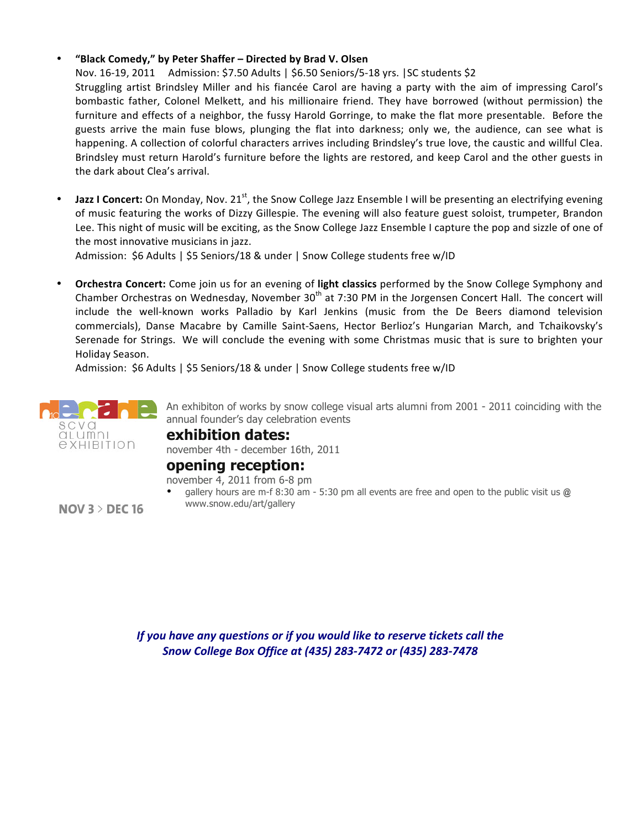### • **"Black!Comedy,"!by!Peter!Shaffer!–!Directed!by!Brad!V.!Olsen**

Nov. 16-19, 2011 Admission: \$7.50 Adults | \$6.50 Seniors/5-18 yrs. | SC students \$2

Struggling artist Brindsley Miller and his fiancée Carol are having a party with the aim of impressing Carol's bombastic father, Colonel Melkett, and his millionaire friend. They have borrowed (without permission) the furniture and effects of a neighbor, the fussy Harold Gorringe, to make the flat more presentable. Before the guests arrive the main fuse blows, plunging the flat into darkness; only we, the audience, can see what is happening. A collection of colorful characters arrives including Brindsley's true love, the caustic and willful Clea. Brindsley must return Harold's furniture before the lights are restored, and keep Carol and the other guests in the dark about Clea's arrival.

**Jazz I Concert:** On Monday, Nov. 21<sup>st</sup>, the Snow College Jazz Ensemble I will be presenting an electrifying evening of music featuring the works of Dizzy Gillespie. The evening will also feature guest soloist, trumpeter, Brandon Lee. This night of music will be exciting, as the Snow College Jazz Ensemble I capture the pop and sizzle of one of the most innovative musicians in jazz.

Admission: \$6 Adults | \$5 Seniors/18 & under | Snow College students free w/ID

• **Orchestra Concert:** Come join us for an evening of light classics performed by the Snow College Symphony and Chamber Orchestras on Wednesday, November 30<sup>th</sup> at 7:30 PM in the Jorgensen Concert Hall. The concert will include the well-known works Palladio by Karl Jenkins (music from the De Beers diamond television commercials), Danse Macabre by Camille Saint-Saens, Hector Berlioz's Hungarian March, and Tchaikovsky's Serenade for Strings. We will conclude the evening with some Christmas music that is sure to brighten your Holiday Season.

Admission: \$6 Adults | \$5 Seniors/18 & under | Snow College students free w/ID



An exhibiton of works by snow college visual arts alumni from 2001 - 2011 coinciding with the annual founder's day celebration events

### **exhibition dates:** november 4th - december 16th, 2011

## **opening reception:**

november 4, 2011 from 6-8 pm

• gallery hours are m-f 8:30 am - 5:30 pm all events are free and open to the public visit us **@**  www.snow.edu/art/gallery

 $NOV$  3 > DEC 16

*If you have any questions or if you would like to reserve tickets call the Snow(College(Box(Office(at((435)(283I7472(or((435)(283I7478*